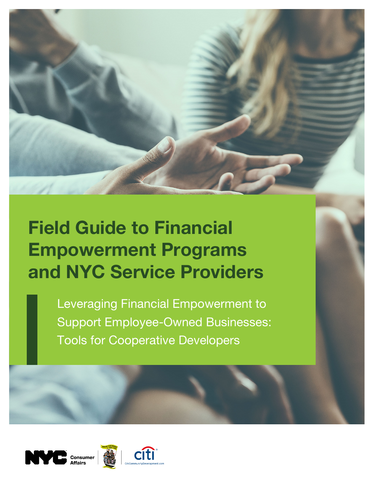

# Field Guide to Financial Empowerment Programs and NYC Service Providers

Leveraging Financial Empowerment to Support Employee-Owned Businesses: Tools for Cooperative Developers





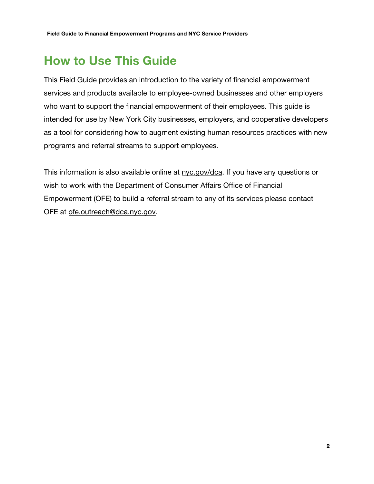## How to Use This Guide

This Field Guide provides an introduction to the variety of financial empowerment services and products available to employee-owned businesses and other employers who want to support the financial empowerment of their employees. This guide is intended for use by New York City businesses, employers, and cooperative developers as a tool for considering how to augment existing human resources practices with new programs and referral streams to support employees.

This information is also available online at nyc.gov/dca. If you have any questions or wish to work with the Department of Consumer Affairs Office of Financial Empowerment (OFE) to build a referral stream to any of its services please contact OFE at ofe.outreach@dca.nyc.gov.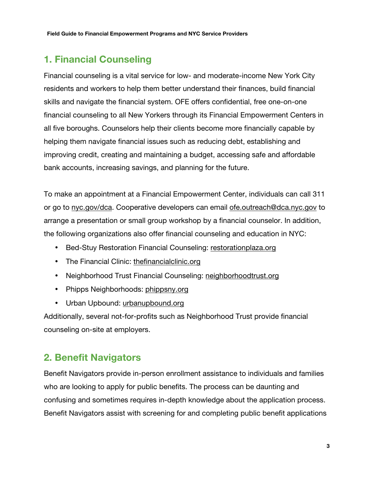## 1. Financial Counseling

Financial counseling is a vital service for low- and moderate-income New York City residents and workers to help them better understand their finances, build financial skills and navigate the financial system. OFE offers confidential, free one-on-one financial counseling to all New Yorkers through its Financial Empowerment Centers in all five boroughs. Counselors help their clients become more financially capable by helping them navigate financial issues such as reducing debt, establishing and improving credit, creating and maintaining a budget, accessing safe and affordable bank accounts, increasing savings, and planning for the future.

To make an appointment at a Financial Empowerment Center, individuals can call 311 or go to nyc.gov/dca. Cooperative developers can email ofe.outreach@dca.nyc.gov to arrange a presentation or small group workshop by a financial counselor. In addition, the following organizations also offer financial counseling and education in NYC:

- Bed-Stuy Restoration Financial Counseling: restorationplaza.org
- The Financial Clinic: thefinancialclinic.org
- Neighborhood Trust Financial Counseling: neighborhoodtrust.org
- Phipps Neighborhoods: phippsny.org
- Urban Upbound: urbanupbound.org

Additionally, several not-for-profits such as Neighborhood Trust provide financial counseling on-site at employers.

### 2. Benefit Navigators

Benefit Navigators provide in-person enrollment assistance to individuals and families who are looking to apply for public benefits. The process can be daunting and confusing and sometimes requires in-depth knowledge about the application process. Benefit Navigators assist with screening for and completing public benefit applications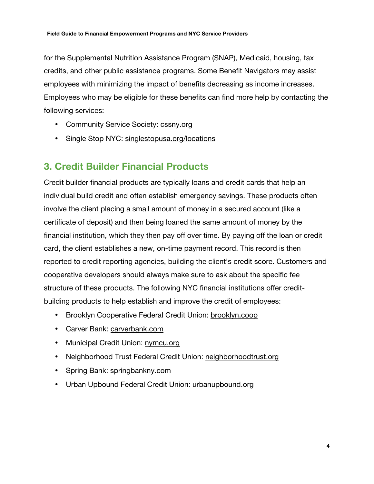for the Supplemental Nutrition Assistance Program (SNAP), Medicaid, housing, tax credits, and other public assistance programs. Some Benefit Navigators may assist employees with minimizing the impact of benefits decreasing as income increases. Employees who may be eligible for these benefits can find more help by contacting the following services:

- Community Service Society: cssny.org
- Single Stop NYC: singlestopusa.org/locations

#### 3. Credit Builder Financial Products

Credit builder financial products are typically loans and credit cards that help an individual build credit and often establish emergency savings. These products often involve the client placing a small amount of money in a secured account (like a certificate of deposit) and then being loaned the same amount of money by the financial institution, which they then pay off over time. By paying off the loan or credit card, the client establishes a new, on-time payment record. This record is then reported to credit reporting agencies, building the client's credit score. Customers and cooperative developers should always make sure to ask about the specific fee structure of these products. The following NYC financial institutions offer creditbuilding products to help establish and improve the credit of employees:

- Brooklyn Cooperative Federal Credit Union: brooklyn.coop
- Carver Bank: carverbank.com
- Municipal Credit Union: nymcu.org
- Neighborhood Trust Federal Credit Union: neighborhoodtrust.org
- Spring Bank: springbankny.com
- Urban Upbound Federal Credit Union: urbanupbound.org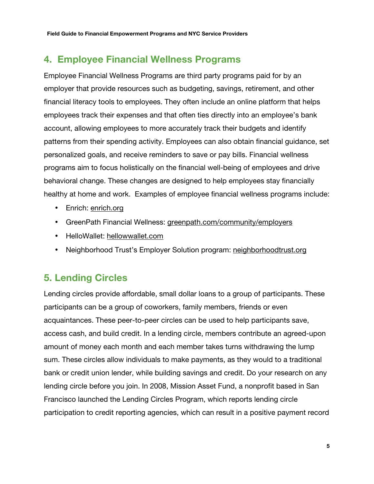#### 4. Employee Financial Wellness Programs

Employee Financial Wellness Programs are third party programs paid for by an employer that provide resources such as budgeting, savings, retirement, and other financial literacy tools to employees. They often include an online platform that helps employees track their expenses and that often ties directly into an employee's bank account, allowing employees to more accurately track their budgets and identify patterns from their spending activity. Employees can also obtain financial guidance, set personalized goals, and receive reminders to save or pay bills. Financial wellness programs aim to focus holistically on the financial well-being of employees and drive behavioral change. These changes are designed to help employees stay financially healthy at home and work. Examples of employee financial wellness programs include:

- Enrich: enrich.org
- GreenPath Financial Wellness: greenpath.com/community/employers
- HelloWallet: hellowwallet.com
- Neighborhood Trust's Employer Solution program: neighborhoodtrust.org

### 5. Lending Circles

Lending circles provide affordable, small dollar loans to a group of participants. These participants can be a group of coworkers, family members, friends or even acquaintances. These peer-to-peer circles can be used to help participants save, access cash, and build credit. In a lending circle, members contribute an agreed-upon amount of money each month and each member takes turns withdrawing the lump sum. These circles allow individuals to make payments, as they would to a traditional bank or credit union lender, while building savings and credit. Do your research on any lending circle before you join. In 2008, Mission Asset Fund, a nonprofit based in San Francisco launched the Lending Circles Program, which reports lending circle participation to credit reporting agencies, which can result in a positive payment record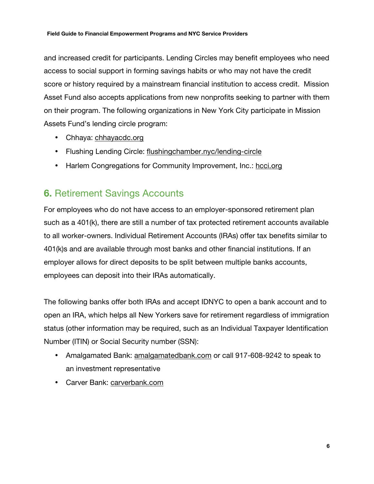#### Field Guide to Financial Empowerment Programs and NYC Service Providers

and increased credit for participants. Lending Circles may benefit employees who need access to social support in forming savings habits or who may not have the credit score or history required by a mainstream financial institution to access credit. Mission Asset Fund also accepts applications from new nonprofits seeking to partner with them on their program. The following organizations in New York City participate in Mission Assets Fund's lending circle program:

- Chhaya: chhayacdc.org
- Flushing Lending Circle: flushingchamber.nyc/lending-circle
- Harlem Congregations for Community Improvement, Inc.: hcci.org

### 6. Retirement Savings Accounts

For employees who do not have access to an employer-sponsored retirement plan such as a 401(k), there are still a number of tax protected retirement accounts available to all worker-owners. Individual Retirement Accounts (IRAs) offer tax benefits similar to 401(k)s and are available through most banks and other financial institutions. If an employer allows for direct deposits to be split between multiple banks accounts, employees can deposit into their IRAs automatically.

The following banks offer both IRAs and accept IDNYC to open a bank account and to open an IRA, which helps all New Yorkers save for retirement regardless of immigration status (other information may be required, such as an Individual Taxpayer Identification Number (ITIN) or Social Security number (SSN):

- Amalgamated Bank: amalgamatedbank.com or call 917-608-9242 to speak to an investment representative
- Carver Bank: carverbank.com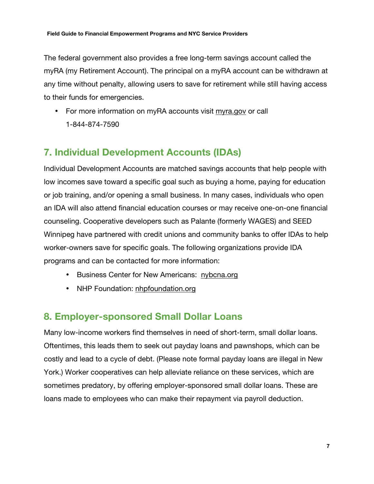The federal government also provides a free long-term savings account called the myRA (my Retirement Account). The principal on a myRA account can be withdrawn at any time without penalty, allowing users to save for retirement while still having access to their funds for emergencies.

• For more information on myRA accounts visit myra.gov or call 1-844-874-7590

## 7. Individual Development Accounts (IDAs)

Individual Development Accounts are matched savings accounts that help people with low incomes save toward a specific goal such as buying a home, paying for education or job training, and/or opening a small business. In many cases, individuals who open an IDA will also attend financial education courses or may receive one-on-one financial counseling. Cooperative developers such as Palante (formerly WAGES) and SEED Winnipeg have partnered with credit unions and community banks to offer IDAs to help worker-owners save for specific goals. The following organizations provide IDA programs and can be contacted for more information:

- Business Center for New Americans: nybcna.org
- NHP Foundation: nhpfoundation.org

#### 8. Employer-sponsored Small Dollar Loans

Many low-income workers find themselves in need of short-term, small dollar loans. Oftentimes, this leads them to seek out payday loans and pawnshops, which can be costly and lead to a cycle of debt. (Please note formal payday loans are illegal in New York.) Worker cooperatives can help alleviate reliance on these services, which are sometimes predatory, by offering employer-sponsored small dollar loans. These are loans made to employees who can make their repayment via payroll deduction.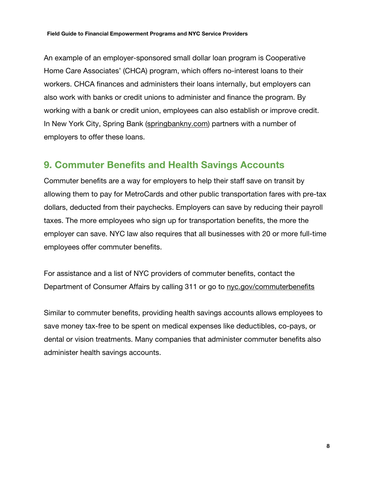#### Field Guide to Financial Empowerment Programs and NYC Service Providers

An example of an employer-sponsored small dollar loan program is Cooperative Home Care Associates' (CHCA) program, which offers no-interest loans to their workers. CHCA finances and administers their loans internally, but employers can also work with banks or credit unions to administer and finance the program. By working with a bank or credit union, employees can also establish or improve credit. In New York City, Spring Bank (springbankny.com) partners with a number of employers to offer these loans.

#### 9. Commuter Benefits and Health Savings Accounts

Commuter benefits are a way for employers to help their staff save on transit by allowing them to pay for MetroCards and other public transportation fares with pre-tax dollars, deducted from their paychecks. Employers can save by reducing their payroll taxes. The more employees who sign up for transportation benefits, the more the employer can save. NYC law also requires that all businesses with 20 or more full-time employees offer commuter benefits.

For assistance and a list of NYC providers of commuter benefits, contact the Department of Consumer Affairs by calling 311 or go to nyc.gov/commuterbenefits

Similar to commuter benefits, providing health savings accounts allows employees to save money tax-free to be spent on medical expenses like deductibles, co-pays, or dental or vision treatments. Many companies that administer commuter benefits also administer health savings accounts.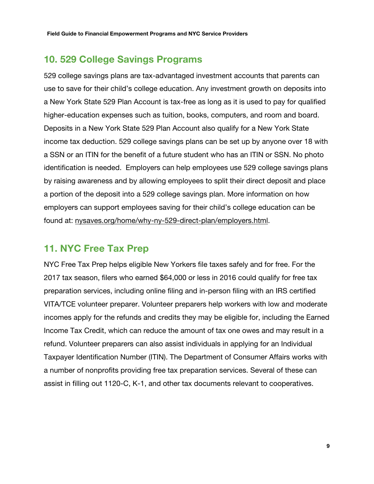#### 10. 529 College Savings Programs

529 college savings plans are tax-advantaged investment accounts that parents can use to save for their child's college education. Any investment growth on deposits into a New York State 529 Plan Account is tax-free as long as it is used to pay for qualified higher-education expenses such as tuition, books, computers, and room and board. Deposits in a New York State 529 Plan Account also qualify for a New York State income tax deduction. 529 college savings plans can be set up by anyone over 18 with a SSN or an ITIN for the benefit of a future student who has an ITIN or SSN. No photo identification is needed. Employers can help employees use 529 college savings plans by raising awareness and by allowing employees to split their direct deposit and place a portion of the deposit into a 529 college savings plan. More information on how employers can support employees saving for their child's college education can be found at: nysaves.org/home/why-ny-529-direct-plan/employers.html.

#### 11. NYC Free Tax Prep

NYC Free Tax Prep helps eligible New Yorkers file taxes safely and for free. For the 2017 tax season, filers who earned \$64,000 or less in 2016 could qualify for free tax preparation services, including online filing and in-person filing with an IRS certified VITA/TCE volunteer preparer. Volunteer preparers help workers with low and moderate incomes apply for the refunds and credits they may be eligible for, including the Earned Income Tax Credit, which can reduce the amount of tax one owes and may result in a refund. Volunteer preparers can also assist individuals in applying for an Individual Taxpayer Identification Number (ITIN). The Department of Consumer Affairs works with a number of nonprofits providing free tax preparation services. Several of these can assist in filling out 1120-C, K-1, and other tax documents relevant to cooperatives.